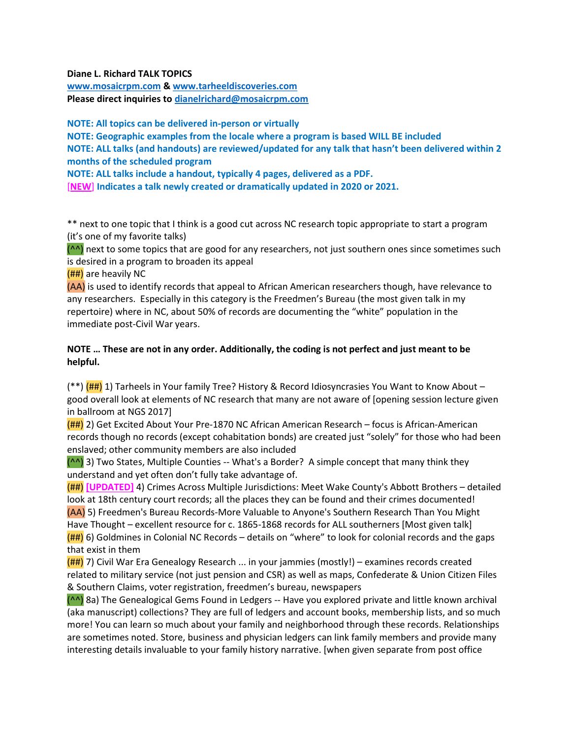## Diane L. Richard TALK TOPICS

www.mosaicrpm.com & www.tarheeldiscoveries.com Please direct inquiries to dianelrichard@mosaicrpm.com

NOTE: All topics can be delivered in-person or virtually NOTE: Geographic examples from the locale where a program is based WILL BE included NOTE: ALL talks (and handouts) are reviewed/updated for any talk that hasn't been delivered within 2 months of the scheduled program NOTE: ALL talks include a handout, typically 4 pages, delivered as a PDF. [NEW] Indicates a talk newly created or dramatically updated in 2020 or 2021.

\*\* next to one topic that I think is a good cut across NC research topic appropriate to start a program (it's one of my favorite talks)

 $(^{\wedge}$ <sup>A</sup>) next to some topics that are good for any researchers, not just southern ones since sometimes such is desired in a program to broaden its appeal

(##) are heavily NC

(AA) is used to identify records that appeal to African American researchers though, have relevance to any researchers. Especially in this category is the Freedmen's Bureau (the most given talk in my repertoire) where in NC, about 50% of records are documenting the "white" population in the immediate post-Civil War years.

## NOTE … These are not in any order. Additionally, the coding is not perfect and just meant to be helpful.

(\*\*) ( $\frac{H}{H}$ ) 1) Tarheels in Your family Tree? History & Record Idiosyncrasies You Want to Know About – good overall look at elements of NC research that many are not aware of [opening session lecture given in ballroom at NGS 2017]

(##) 2) Get Excited About Your Pre-1870 NC African American Research – focus is African-American records though no records (except cohabitation bonds) are created just "solely" for those who had been enslaved; other community members are also included

(^^) 3) Two States, Multiple Counties -- What's a Border? A simple concept that many think they understand and yet often don't fully take advantage of.

(##) [UPDATED] 4) Crimes Across Multiple Jurisdictions: Meet Wake County's Abbott Brothers – detailed look at 18th century court records; all the places they can be found and their crimes documented! (AA) 5) Freedmen's Bureau Records-More Valuable to Anyone's Southern Research Than You Might Have Thought – excellent resource for c. 1865-1868 records for ALL southerners [Most given talk]

 $(H#)$  6) Goldmines in Colonial NC Records – details on "where" to look for colonial records and the gaps that exist in them

(##) 7) Civil War Era Genealogy Research ... in your jammies (mostly!) – examines records created related to military service (not just pension and CSR) as well as maps, Confederate & Union Citizen Files & Southern Claims, voter registration, freedmen's bureau, newspapers

(^^) 8a) The Genealogical Gems Found in Ledgers -- Have you explored private and little known archival (aka manuscript) collections? They are full of ledgers and account books, membership lists, and so much more! You can learn so much about your family and neighborhood through these records. Relationships are sometimes noted. Store, business and physician ledgers can link family members and provide many interesting details invaluable to your family history narrative. [when given separate from post office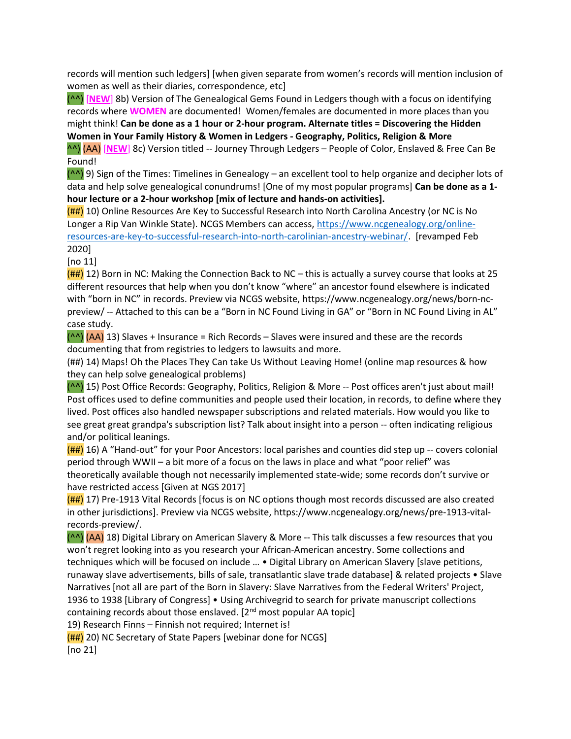records will mention such ledgers] [when given separate from women's records will mention inclusion of women as well as their diaries, correspondence, etc]

(^^) [NEW] 8b) Version of The Genealogical Gems Found in Ledgers though with a focus on identifying records where WOMEN are documented! Women/females are documented in more places than you might think! Can be done as a 1 hour or 2-hour program. Alternate titles = Discovering the Hidden Women in Your Family History & Women in Ledgers - Geography, Politics, Religion & More

^^) (AA) [NEW] 8c) Version titled -- Journey Through Ledgers – People of Color, Enslaved & Free Can Be Found!

(^^) 9) Sign of the Times: Timelines in Genealogy – an excellent tool to help organize and decipher lots of data and help solve genealogical conundrums! [One of my most popular programs] Can be done as a 1 hour lecture or a 2-hour workshop [mix of lecture and hands-on activities].

(##) 10) Online Resources Are Key to Successful Research into North Carolina Ancestry (or NC is No Longer a Rip Van Winkle State). NCGS Members can access, https://www.ncgenealogy.org/onlineresources-are-key-to-successful-research-into-north-carolinian-ancestry-webinar/. [revamped Feb 2020]

[no 11]

 $(\text{HH})$  12) Born in NC: Making the Connection Back to NC – this is actually a survey course that looks at 25 different resources that help when you don't know "where" an ancestor found elsewhere is indicated with "born in NC" in records. Preview via NCGS website, https://www.ncgenealogy.org/news/born-ncpreview/ -- Attached to this can be a "Born in NC Found Living in GA" or "Born in NC Found Living in AL" case study.

 $(^{A}$  $)$  (AA) 13) Slaves + Insurance = Rich Records – Slaves were insured and these are the records documenting that from registries to ledgers to lawsuits and more.

(##) 14) Maps! Oh the Places They Can take Us Without Leaving Home! (online map resources & how they can help solve genealogical problems)

(^^) 15) Post Office Records: Geography, Politics, Religion & More -- Post offices aren't just about mail! Post offices used to define communities and people used their location, in records, to define where they lived. Post offices also handled newspaper subscriptions and related materials. How would you like to see great great grandpa's subscription list? Talk about insight into a person -- often indicating religious and/or political leanings.

(##) 16) A "Hand-out" for your Poor Ancestors: local parishes and counties did step up -- covers colonial period through WWII – a bit more of a focus on the laws in place and what "poor relief" was theoretically available though not necessarily implemented state-wide; some records don't survive or have restricted access [Given at NGS 2017]

 $(H#)$  17) Pre-1913 Vital Records [focus is on NC options though most records discussed are also created in other jurisdictions]. Preview via NCGS website, https://www.ncgenealogy.org/news/pre-1913-vitalrecords-preview/.

(^^) (AA) 18) Digital Library on American Slavery & More -- This talk discusses a few resources that you won't regret looking into as you research your African-American ancestry. Some collections and techniques which will be focused on include … • Digital Library on American Slavery [slave petitions, runaway slave advertisements, bills of sale, transatlantic slave trade database] & related projects • Slave Narratives [not all are part of the Born in Slavery: Slave Narratives from the Federal Writers' Project, 1936 to 1938 [Library of Congress] • Using Archivegrid to search for private manuscript collections containing records about those enslaved.  $[2^{nd}$  most popular AA topic]

19) Research Finns – Finnish not required; Internet is!

(##) 20) NC Secretary of State Papers [webinar done for NCGS]

[no 21]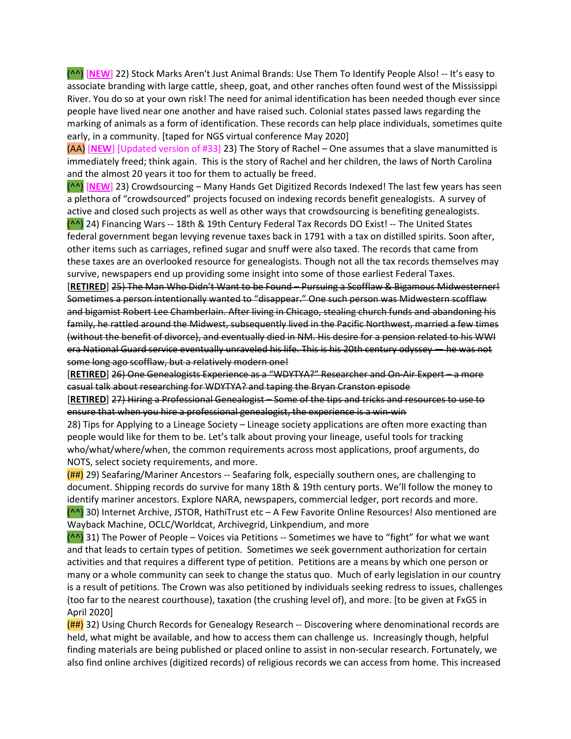(^^) [NEW] 22) Stock Marks Aren't Just Animal Brands: Use Them To Identify People Also! -- It's easy to associate branding with large cattle, sheep, goat, and other ranches often found west of the Mississippi River. You do so at your own risk! The need for animal identification has been needed though ever since people have lived near one another and have raised such. Colonial states passed laws regarding the marking of animals as a form of identification. These records can help place individuals, sometimes quite early, in a community. [taped for NGS virtual conference May 2020]

(AA) [NEW] [Updated version of #33] 23) The Story of Rachel – One assumes that a slave manumitted is immediately freed; think again. This is the story of Rachel and her children, the laws of North Carolina and the almost 20 years it too for them to actually be freed.

(^^) [NEW] 23) Crowdsourcing – Many Hands Get Digitized Records Indexed! The last few years has seen a plethora of "crowdsourced" projects focused on indexing records benefit genealogists. A survey of active and closed such projects as well as other ways that crowdsourcing is benefiting genealogists.

(^^) 24) Financing Wars -- 18th & 19th Century Federal Tax Records DO Exist! -- The United States federal government began levying revenue taxes back in 1791 with a tax on distilled spirits. Soon after, other items such as carriages, refined sugar and snuff were also taxed. The records that came from these taxes are an overlooked resource for genealogists. Though not all the tax records themselves may survive, newspapers end up providing some insight into some of those earliest Federal Taxes.

[RETIRED] 25) The Man Who Didn't Want to be Found – Pursuing a Scofflaw & Bigamous Midwesterner! Sometimes a person intentionally wanted to "disappear." One such person was Midwestern scofflaw and bigamist Robert Lee Chamberlain. After living in Chicago, stealing church funds and abandoning his family, he rattled around the Midwest, subsequently lived in the Pacific Northwest, married a few times (without the benefit of divorce), and eventually died in NM. His desire for a pension related to his WWI era National Guard service eventually unraveled his life. This is his 20th century odyssey — he was not some long ago scofflaw, but a relatively modern one!

[RETIRED] 26) One Genealogists Experience as a "WDYTYA?" Researcher and On-Air Expert – a more casual talk about researching for WDYTYA? and taping the Bryan Cranston episode

[RETIRED] 27) Hiring a Professional Genealogist – Some of the tips and tricks and resources to use to ensure that when you hire a professional genealogist, the experience is a win-win

28) Tips for Applying to a Lineage Society – Lineage society applications are often more exacting than people would like for them to be. Let's talk about proving your lineage, useful tools for tracking who/what/where/when, the common requirements across most applications, proof arguments, do NOTS, select society requirements, and more.

 $(H#)$  29) Seafaring/Mariner Ancestors -- Seafaring folk, especially southern ones, are challenging to document. Shipping records do survive for many 18th & 19th century ports. We'll follow the money to identify mariner ancestors. Explore NARA, newspapers, commercial ledger, port records and more. (^^) 30) Internet Archive, JSTOR, HathiTrust etc – A Few Favorite Online Resources! Also mentioned are Wayback Machine, OCLC/Worldcat, Archivegrid, Linkpendium, and more

 $($ <sup>^</sup>) 31) The Power of People – Voices via Petitions -- Sometimes we have to "fight" for what we want and that leads to certain types of petition. Sometimes we seek government authorization for certain activities and that requires a different type of petition. Petitions are a means by which one person or many or a whole community can seek to change the status quo. Much of early legislation in our country is a result of petitions. The Crown was also petitioned by individuals seeking redress to issues, challenges (too far to the nearest courthouse), taxation (the crushing level of), and more. [to be given at FxGS in April 2020]

(##) 32) Using Church Records for Genealogy Research -- Discovering where denominational records are held, what might be available, and how to access them can challenge us. Increasingly though, helpful finding materials are being published or placed online to assist in non-secular research. Fortunately, we also find online archives (digitized records) of religious records we can access from home. This increased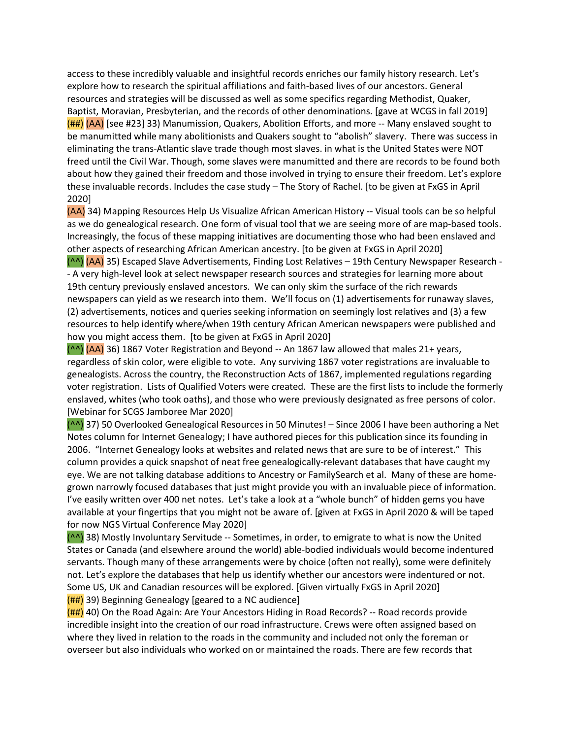access to these incredibly valuable and insightful records enriches our family history research. Let's explore how to research the spiritual affiliations and faith-based lives of our ancestors. General resources and strategies will be discussed as well as some specifics regarding Methodist, Quaker, Baptist, Moravian, Presbyterian, and the records of other denominations. [gave at WCGS in fall 2019]  $(H#)$  (AA) [see #23] 33) Manumission, Quakers, Abolition Efforts, and more -- Many enslaved sought to be manumitted while many abolitionists and Quakers sought to "abolish" slavery. There was success in eliminating the trans-Atlantic slave trade though most slaves. in what is the United States were NOT freed until the Civil War. Though, some slaves were manumitted and there are records to be found both about how they gained their freedom and those involved in trying to ensure their freedom. Let's explore these invaluable records. Includes the case study – The Story of Rachel. [to be given at FxGS in April 2020]

(AA) 34) Mapping Resources Help Us Visualize African American History -- Visual tools can be so helpful as we do genealogical research. One form of visual tool that we are seeing more of are map-based tools. Increasingly, the focus of these mapping initiatives are documenting those who had been enslaved and other aspects of researching African American ancestry. [to be given at FxGS in April 2020]

(^^) (AA) 35) Escaped Slave Advertisements, Finding Lost Relatives – 19th Century Newspaper Research - - A very high-level look at select newspaper research sources and strategies for learning more about 19th century previously enslaved ancestors. We can only skim the surface of the rich rewards newspapers can yield as we research into them. We'll focus on (1) advertisements for runaway slaves, (2) advertisements, notices and queries seeking information on seemingly lost relatives and (3) a few resources to help identify where/when 19th century African American newspapers were published and how you might access them. [to be given at FxGS in April 2020]

 $($ ^^)  $(A)$  36) 1867 Voter Registration and Beyond -- An 1867 law allowed that males 21+ years, regardless of skin color, were eligible to vote. Any surviving 1867 voter registrations are invaluable to genealogists. Across the country, the Reconstruction Acts of 1867, implemented regulations regarding voter registration. Lists of Qualified Voters were created. These are the first lists to include the formerly enslaved, whites (who took oaths), and those who were previously designated as free persons of color. [Webinar for SCGS Jamboree Mar 2020]

(^^) 37) 50 Overlooked Genealogical Resources in 50 Minutes! – Since 2006 I have been authoring a Net Notes column for Internet Genealogy; I have authored pieces for this publication since its founding in 2006. "Internet Genealogy looks at websites and related news that are sure to be of interest." This column provides a quick snapshot of neat free genealogically-relevant databases that have caught my eye. We are not talking database additions to Ancestry or FamilySearch et al. Many of these are homegrown narrowly focused databases that just might provide you with an invaluable piece of information. I've easily written over 400 net notes. Let's take a look at a "whole bunch" of hidden gems you have available at your fingertips that you might not be aware of. [given at FxGS in April 2020 & will be taped for now NGS Virtual Conference May 2020]

(^^) 38) Mostly Involuntary Servitude -- Sometimes, in order, to emigrate to what is now the United States or Canada (and elsewhere around the world) able-bodied individuals would become indentured servants. Though many of these arrangements were by choice (often not really), some were definitely not. Let's explore the databases that help us identify whether our ancestors were indentured or not. Some US, UK and Canadian resources will be explored. [Given virtually FxGS in April 2020]  $(H#)$  39) Beginning Genealogy [geared to a NC audience]

(##) 40) On the Road Again: Are Your Ancestors Hiding in Road Records? -- Road records provide incredible insight into the creation of our road infrastructure. Crews were often assigned based on where they lived in relation to the roads in the community and included not only the foreman or overseer but also individuals who worked on or maintained the roads. There are few records that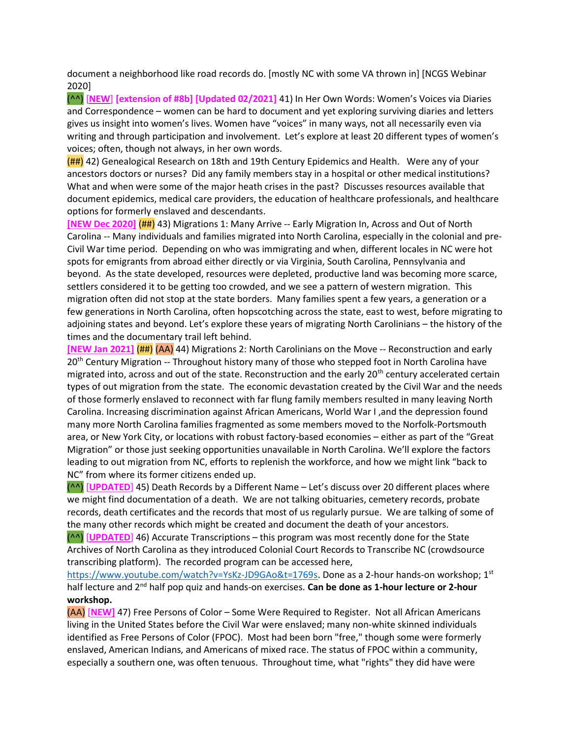document a neighborhood like road records do. [mostly NC with some VA thrown in] [NCGS Webinar 2020]

(^^) [NEW] [extension of #8b] [Updated 02/2021] 41) In Her Own Words: Women's Voices via Diaries and Correspondence – women can be hard to document and yet exploring surviving diaries and letters gives us insight into women's lives. Women have "voices" in many ways, not all necessarily even via writing and through participation and involvement. Let's explore at least 20 different types of women's voices; often, though not always, in her own words.

(##) 42) Genealogical Research on 18th and 19th Century Epidemics and Health. Were any of your ancestors doctors or nurses? Did any family members stay in a hospital or other medical institutions? What and when were some of the major heath crises in the past? Discusses resources available that document epidemics, medical care providers, the education of healthcare professionals, and healthcare options for formerly enslaved and descendants.

[NEW Dec 2020] (##) 43) Migrations 1: Many Arrive -- Early Migration In, Across and Out of North Carolina -- Many individuals and families migrated into North Carolina, especially in the colonial and pre-Civil War time period. Depending on who was immigrating and when, different locales in NC were hot spots for emigrants from abroad either directly or via Virginia, South Carolina, Pennsylvania and beyond. As the state developed, resources were depleted, productive land was becoming more scarce, settlers considered it to be getting too crowded, and we see a pattern of western migration. This migration often did not stop at the state borders. Many families spent a few years, a generation or a few generations in North Carolina, often hopscotching across the state, east to west, before migrating to adjoining states and beyond. Let's explore these years of migrating North Carolinians – the history of the times and the documentary trail left behind.

[NEW Jan 2021] (##) (AA) 44) Migrations 2: North Carolinians on the Move -- Reconstruction and early 20<sup>th</sup> Century Migration -- Throughout history many of those who stepped foot in North Carolina have migrated into, across and out of the state. Reconstruction and the early 20<sup>th</sup> century accelerated certain types of out migration from the state. The economic devastation created by the Civil War and the needs of those formerly enslaved to reconnect with far flung family members resulted in many leaving North Carolina. Increasing discrimination against African Americans, World War I ,and the depression found many more North Carolina families fragmented as some members moved to the Norfolk-Portsmouth area, or New York City, or locations with robust factory-based economies – either as part of the "Great Migration" or those just seeking opportunities unavailable in North Carolina. We'll explore the factors leading to out migration from NC, efforts to replenish the workforce, and how we might link "back to NC" from where its former citizens ended up.

(^^) [UPDATED] 45) Death Records by a Different Name – Let's discuss over 20 different places where we might find documentation of a death. We are not talking obituaries, cemetery records, probate records, death certificates and the records that most of us regularly pursue. We are talking of some of the many other records which might be created and document the death of your ancestors.

(^^) [UPDATED] 46) Accurate Transcriptions – this program was most recently done for the State Archives of North Carolina as they introduced Colonial Court Records to Transcribe NC (crowdsource transcribing platform). The recorded program can be accessed here,

https://www.youtube.com/watch?v=YsKz-JD9GAo&t=1769s. Done as a 2-hour hands-on workshop; 1st half lecture and  $2<sup>nd</sup>$  half pop quiz and hands-on exercises. Can be done as 1-hour lecture or 2-hour workshop.

(AA) [NEW] 47) Free Persons of Color – Some Were Required to Register. Not all African Americans living in the United States before the Civil War were enslaved; many non-white skinned individuals identified as Free Persons of Color (FPOC). Most had been born "free," though some were formerly enslaved, American Indians, and Americans of mixed race. The status of FPOC within a community, especially a southern one, was often tenuous. Throughout time, what "rights" they did have were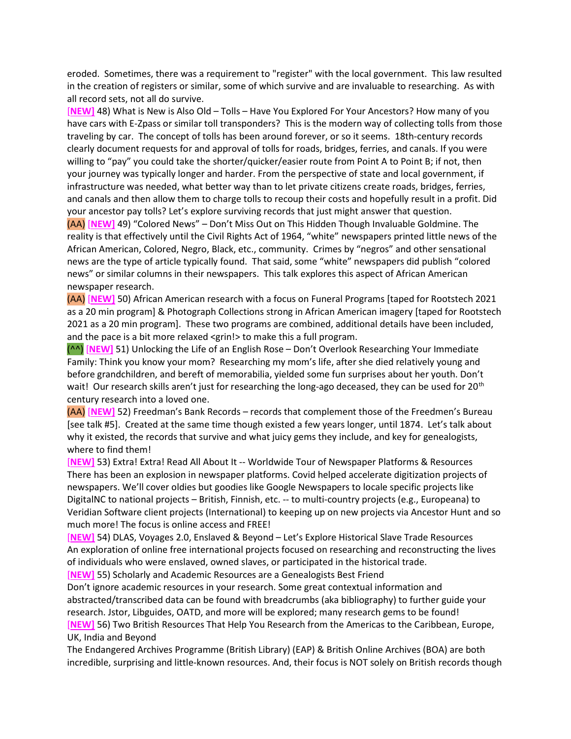eroded. Sometimes, there was a requirement to "register" with the local government. This law resulted in the creation of registers or similar, some of which survive and are invaluable to researching. As with all record sets, not all do survive.

[NEW] 48) What is New is Also Old – Tolls – Have You Explored For Your Ancestors? How many of you have cars with E-Zpass or similar toll transponders? This is the modern way of collecting tolls from those traveling by car. The concept of tolls has been around forever, or so it seems. 18th-century records clearly document requests for and approval of tolls for roads, bridges, ferries, and canals. If you were willing to "pay" you could take the shorter/quicker/easier route from Point A to Point B; if not, then your journey was typically longer and harder. From the perspective of state and local government, if infrastructure was needed, what better way than to let private citizens create roads, bridges, ferries, and canals and then allow them to charge tolls to recoup their costs and hopefully result in a profit. Did your ancestor pay tolls? Let's explore surviving records that just might answer that question.

(AA) [NEW] 49) "Colored News" – Don't Miss Out on This Hidden Though Invaluable Goldmine. The reality is that effectively until the Civil Rights Act of 1964, "white" newspapers printed little news of the African American, Colored, Negro, Black, etc., community. Crimes by "negros" and other sensational news are the type of article typically found. That said, some "white" newspapers did publish "colored news" or similar columns in their newspapers. This talk explores this aspect of African American newspaper research.

(AA) [NEW] 50) African American research with a focus on Funeral Programs [taped for Rootstech 2021 as a 20 min program] & Photograph Collections strong in African American imagery [taped for Rootstech 2021 as a 20 min program]. These two programs are combined, additional details have been included, and the pace is a bit more relaxed <grin! > to make this a full program.

(^^) [NEW] 51) Unlocking the Life of an English Rose – Don't Overlook Researching Your Immediate Family: Think you know your mom? Researching my mom's life, after she died relatively young and before grandchildren, and bereft of memorabilia, yielded some fun surprises about her youth. Don't wait! Our research skills aren't just for researching the long-ago deceased, they can be used for 20<sup>th</sup> century research into a loved one.

(AA) [NEW] 52) Freedman's Bank Records – records that complement those of the Freedmen's Bureau [see talk #5]. Created at the same time though existed a few years longer, until 1874. Let's talk about why it existed, the records that survive and what juicy gems they include, and key for genealogists, where to find them!

[NEW] 53) Extra! Extra! Read All About It -- Worldwide Tour of Newspaper Platforms & Resources There has been an explosion in newspaper platforms. Covid helped accelerate digitization projects of newspapers. We'll cover oldies but goodies like Google Newspapers to locale specific projects like DigitalNC to national projects – British, Finnish, etc. -- to multi-country projects (e.g., Europeana) to Veridian Software client projects (International) to keeping up on new projects via Ancestor Hunt and so much more! The focus is online access and FREE!

[NEW] 54) DLAS, Voyages 2.0, Enslaved & Beyond – Let's Explore Historical Slave Trade Resources An exploration of online free international projects focused on researching and reconstructing the lives of individuals who were enslaved, owned slaves, or participated in the historical trade.

[NEW] 55) Scholarly and Academic Resources are a Genealogists Best Friend

Don't ignore academic resources in your research. Some great contextual information and abstracted/transcribed data can be found with breadcrumbs (aka bibliography) to further guide your research. Jstor, Libguides, OATD, and more will be explored; many research gems to be found! [NEW] 56) Two British Resources That Help You Research from the Americas to the Caribbean, Europe, UK, India and Beyond

The Endangered Archives Programme (British Library) (EAP) & British Online Archives (BOA) are both incredible, surprising and little-known resources. And, their focus is NOT solely on British records though